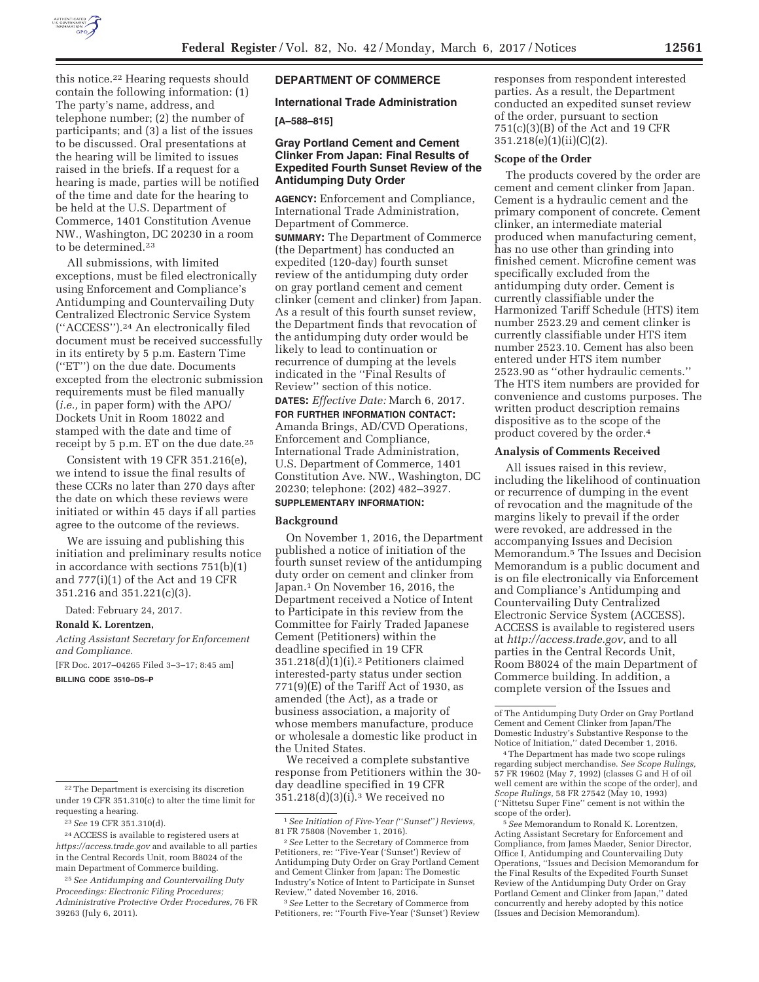

this notice.22 Hearing requests should contain the following information: (1) The party's name, address, and telephone number; (2) the number of participants; and (3) a list of the issues to be discussed. Oral presentations at the hearing will be limited to issues raised in the briefs. If a request for a hearing is made, parties will be notified of the time and date for the hearing to be held at the U.S. Department of Commerce, 1401 Constitution Avenue NW., Washington, DC 20230 in a room to be determined.23

All submissions, with limited exceptions, must be filed electronically using Enforcement and Compliance's Antidumping and Countervailing Duty Centralized Electronic Service System (''ACCESS'').24 An electronically filed document must be received successfully in its entirety by 5 p.m. Eastern Time (''ET'') on the due date. Documents excepted from the electronic submission requirements must be filed manually (*i.e.,* in paper form) with the APO/ Dockets Unit in Room 18022 and stamped with the date and time of receipt by 5 p.m. ET on the due date.25

Consistent with 19 CFR 351.216(e), we intend to issue the final results of these CCRs no later than 270 days after the date on which these reviews were initiated or within 45 days if all parties agree to the outcome of the reviews.

We are issuing and publishing this initiation and preliminary results notice in accordance with sections 751(b)(1) and 777(i)(1) of the Act and 19 CFR 351.216 and 351.221(c)(3).

Dated: February 24, 2017.

**Ronald K. Lorentzen,** 

*Acting Assistant Secretary for Enforcement and Compliance.* 

[FR Doc. 2017–04265 Filed 3–3–17; 8:45 am]

**BILLING CODE 3510–DS–P** 

# **DEPARTMENT OF COMMERCE**

**International Trade Administration** 

## **[A–588–815]**

## **Gray Portland Cement and Cement Clinker From Japan: Final Results of Expedited Fourth Sunset Review of the Antidumping Duty Order**

**AGENCY:** Enforcement and Compliance, International Trade Administration, Department of Commerce.

**SUMMARY:** The Department of Commerce (the Department) has conducted an expedited (120-day) fourth sunset review of the antidumping duty order on gray portland cement and cement clinker (cement and clinker) from Japan. As a result of this fourth sunset review, the Department finds that revocation of the antidumping duty order would be likely to lead to continuation or recurrence of dumping at the levels indicated in the ''Final Results of Review'' section of this notice.

**DATES:** *Effective Date:* March 6, 2017.

**FOR FURTHER INFORMATION CONTACT:**  Amanda Brings, AD/CVD Operations, Enforcement and Compliance, International Trade Administration, U.S. Department of Commerce, 1401 Constitution Ave. NW., Washington, DC 20230; telephone: (202) 482–3927. **SUPPLEMENTARY INFORMATION:** 

**Background** 

On November 1, 2016, the Department published a notice of initiation of the fourth sunset review of the antidumping duty order on cement and clinker from Japan.1 On November 16, 2016, the Department received a Notice of Intent to Participate in this review from the Committee for Fairly Traded Japanese Cement (Petitioners) within the deadline specified in 19 CFR 351.218(d)(1)(i).2 Petitioners claimed interested-party status under section 771(9)(E) of the Tariff Act of 1930, as amended (the Act), as a trade or business association, a majority of whose members manufacture, produce or wholesale a domestic like product in the United States.

We received a complete substantive response from Petitioners within the 30 day deadline specified in 19 CFR 351.218(d)(3)(i).3 We received no

3*See* Letter to the Secretary of Commerce from Petitioners, re: ''Fourth Five-Year ('Sunset') Review responses from respondent interested parties. As a result, the Department conducted an expedited sunset review of the order, pursuant to section 751(c)(3)(B) of the Act and 19 CFR 351.218(e)(1)(ii)(C)(2).

## **Scope of the Order**

The products covered by the order are cement and cement clinker from Japan. Cement is a hydraulic cement and the primary component of concrete. Cement clinker, an intermediate material produced when manufacturing cement, has no use other than grinding into finished cement. Microfine cement was specifically excluded from the antidumping duty order. Cement is currently classifiable under the Harmonized Tariff Schedule (HTS) item number 2523.29 and cement clinker is currently classifiable under HTS item number 2523.10. Cement has also been entered under HTS item number 2523.90 as ''other hydraulic cements.'' The HTS item numbers are provided for convenience and customs purposes. The written product description remains dispositive as to the scope of the product covered by the order.4

## **Analysis of Comments Received**

All issues raised in this review, including the likelihood of continuation or recurrence of dumping in the event of revocation and the magnitude of the margins likely to prevail if the order were revoked, are addressed in the accompanying Issues and Decision Memorandum.5 The Issues and Decision Memorandum is a public document and is on file electronically via Enforcement and Compliance's Antidumping and Countervailing Duty Centralized Electronic Service System (ACCESS). ACCESS is available to registered users at *http://access.trade.gov,* and to all parties in the Central Records Unit, Room B8024 of the main Department of Commerce building. In addition, a complete version of the Issues and

5*See* Memorandum to Ronald K. Lorentzen, Acting Assistant Secretary for Enforcement and Compliance, from James Maeder, Senior Director, Office I, Antidumping and Countervailing Duty Operations, ''Issues and Decision Memorandum for the Final Results of the Expedited Fourth Sunset Review of the Antidumping Duty Order on Gray Portland Cement and Clinker from Japan,'' dated concurrently and hereby adopted by this notice (Issues and Decision Memorandum).

<sup>22</sup>The Department is exercising its discretion under 19 CFR 351.310(c) to alter the time limit for requesting a hearing.

<sup>23</sup>*See* 19 CFR 351.310(d).

<sup>24</sup>ACCESS is available to registered users at *https://access.trade.gov* and available to all parties in the Central Records Unit, room B8024 of the main Department of Commerce building.

<sup>25</sup>*See Antidumping and Countervailing Duty Proceedings: Electronic Filing Procedures; Administrative Protective Order Procedures,* 76 FR 39263 (July 6, 2011).

<sup>1</sup>*See Initiation of Five-Year (*''*Sunset*''*) Reviews,*  81 FR 75808 (November 1, 2016).

<sup>2</sup>*See* Letter to the Secretary of Commerce from Petitioners, re: ''Five-Year ('Sunset') Review of Antidumping Duty Order on Gray Portland Cement and Cement Clinker from Japan: The Domestic Industry's Notice of Intent to Participate in Sunset Review,'' dated November 16, 2016.

of The Antidumping Duty Order on Gray Portland Cement and Cement Clinker from Japan/The Domestic Industry's Substantive Response to the Notice of Initiation,'' dated December 1, 2016.

<sup>4</sup>The Department has made two scope rulings regarding subject merchandise. *See Scope Rulings,*  57 FR 19602 (May 7, 1992) (classes G and H of oil well cement are within the scope of the order), and *Scope Rulings,* 58 FR 27542 (May 10, 1993) (''Nittetsu Super Fine'' cement is not within the scope of the order).